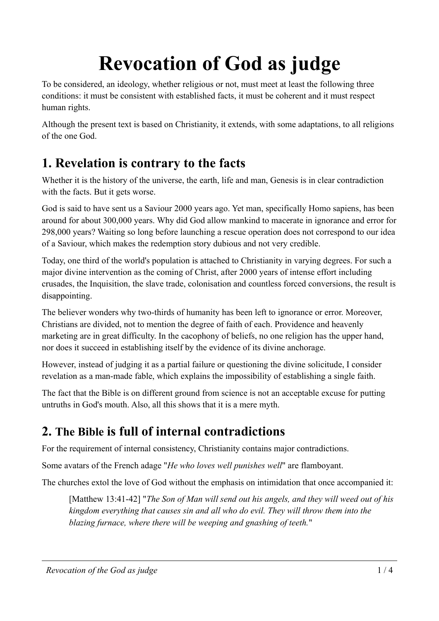# **Revocation of God as judge**

To be considered, an ideology, whether religious or not, must meet at least the following three conditions: it must be consistent with established facts, it must be coherent and it must respect human rights.

Although the present text is based on Christianity, it extends, with some adaptations, to all religions of the one God.

#### **1. Revelation is contrary to the facts**

Whether it is the history of the universe, the earth, life and man, Genesis is in clear contradiction with the facts. But it gets worse.

God is said to have sent us a Saviour 2000 years ago. Yet man, specifically Homo sapiens, has been around for about 300,000 years. Why did God allow mankind to macerate in ignorance and error for 298,000 years? Waiting so long before launching a rescue operation does not correspond to our idea of a Saviour, which makes the redemption story dubious and not very credible.

Today, one third of the world's population is attached to Christianity in varying degrees. For such a major divine intervention as the coming of Christ, after 2000 years of intense effort including crusades, the Inquisition, the slave trade, colonisation and countless forced conversions, the result is disappointing.

The believer wonders why two-thirds of humanity has been left to ignorance or error. Moreover, Christians are divided, not to mention the degree of faith of each. Providence and heavenly marketing are in great difficulty. In the cacophony of beliefs, no one religion has the upper hand, nor does it succeed in establishing itself by the evidence of its divine anchorage.

However, instead of judging it as a partial failure or questioning the divine solicitude, I consider revelation as a man-made fable, which explains the impossibility of establishing a single faith.

The fact that the Bible is on different ground from science is not an acceptable excuse for putting untruths in God's mouth. Also, all this shows that it is a mere myth.

### **2. The Bible is full of internal contradictions**

For the requirement of internal consistency, Christianity contains major contradictions.

Some avatars of the French adage "*He who loves well punishes well*" are flamboyant.

The churches extol the love of God without the emphasis on intimidation that once accompanied it:

[Matthew 13:41-42] "*The Son of Man will send out his angels, and they will weed out of his kingdom everything that causes sin and all who do evil. They will throw them into the blazing furnace, where there will be weeping and gnashing of teeth.*"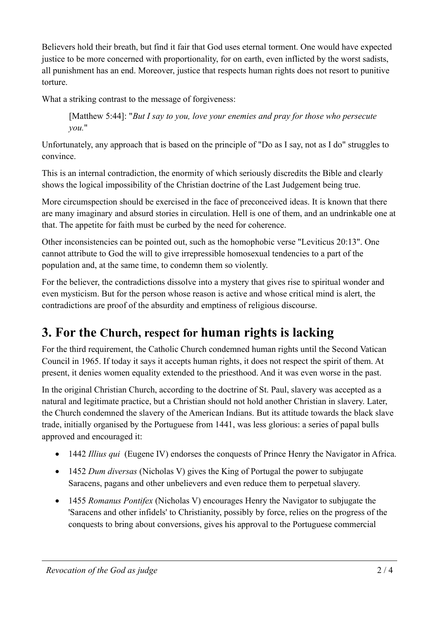Believers hold their breath, but find it fair that God uses eternal torment. One would have expected justice to be more concerned with proportionality, for on earth, even inflicted by the worst sadists, all punishment has an end. Moreover, justice that respects human rights does not resort to punitive torture.

What a striking contrast to the message of forgiveness:

[Matthew 5:44]: "*But I say to you, love your enemies and pray for those who persecute you.*"

Unfortunately, any approach that is based on the principle of "Do as I say, not as I do" struggles to convince.

This is an internal contradiction, the enormity of which seriously discredits the Bible and clearly shows the logical impossibility of the Christian doctrine of the Last Judgement being true.

More circumspection should be exercised in the face of preconceived ideas. It is known that there are many imaginary and absurd stories in circulation. Hell is one of them, and an undrinkable one at that. The appetite for faith must be curbed by the need for coherence.

Other inconsistencies can be pointed out, such as the homophobic verse "Leviticus 20:13". One cannot attribute to God the will to give irrepressible homosexual tendencies to a part of the population and, at the same time, to condemn them so violently.

For the believer, the contradictions dissolve into a mystery that gives rise to spiritual wonder and even mysticism. But for the person whose reason is active and whose critical mind is alert, the contradictions are proof of the absurdity and emptiness of religious discourse.

# **3. For the Church, respect for human rights is lacking**

For the third requirement, the Catholic Church condemned human rights until the Second Vatican Council in 1965. If today it says it accepts human rights, it does not respect the spirit of them. At present, it denies women equality extended to the priesthood. And it was even worse in the past.

In the original Christian Church, according to the doctrine of St. Paul, slavery was accepted as a natural and legitimate practice, but a Christian should not hold another Christian in slavery. Later, the Church condemned the slavery of the American Indians. But its attitude towards the black slave trade, initially organised by the Portuguese from 1441, was less glorious: a series of papal bulls approved and encouraged it:

- 1442 *Illius qui* (Eugene IV) endorses the conquests of Prince Henry the Navigator in Africa.
- 1452 *Dum diversas* (Nicholas V) gives the King of Portugal the power to subjugate Saracens, pagans and other unbelievers and even reduce them to perpetual slavery.
- 1455 *Romanus Pontifex* (Nicholas V) encourages Henry the Navigator to subjugate the 'Saracens and other infidels' to Christianity, possibly by force, relies on the progress of the conquests to bring about conversions, gives his approval to the Portuguese commercial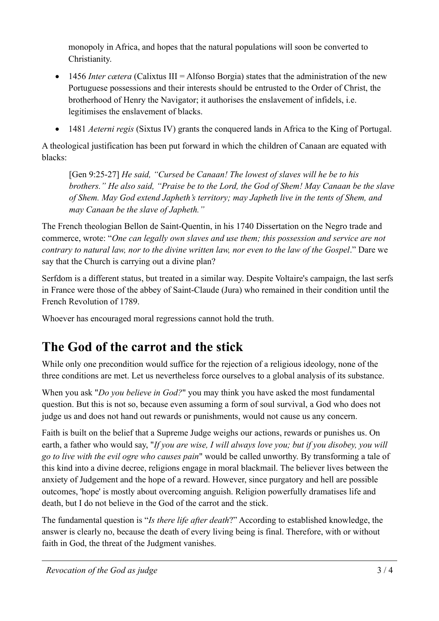monopoly in Africa, and hopes that the natural populations will soon be converted to Christianity.

- 1456 *Inter cætera* (Calixtus III = Alfonso Borgia) states that the administration of the new Portuguese possessions and their interests should be entrusted to the Order of Christ, the brotherhood of Henry the Navigator; it authorises the enslavement of infidels, i.e. legitimises the enslavement of blacks.
- 1481 *Aeterni regis* (Sixtus IV) grants the conquered lands in Africa to the King of Portugal.

A theological justification has been put forward in which the children of Canaan are equated with blacks:

[Gen 9:25-27] *He said, "Cursed be Canaan! The lowest of slaves will he be to his brothers." He also said, "Praise be to the Lord, the God of Shem! May Canaan be the slave of Shem. May God extend Japheth's territory; may Japheth live in the tents of Shem, and may Canaan be the slave of Japheth."*

The French theologian Bellon de Saint-Quentin, in his 1740 Dissertation on the Negro trade and commerce, wrote: "*One can legally own slaves and use them; this possession and service are not contrary to natural law, nor to the divine written law, nor even to the law of the Gospel*." Dare we say that the Church is carrying out a divine plan?

Serfdom is a different status, but treated in a similar way. Despite Voltaire's campaign, the last serfs in France were those of the abbey of Saint-Claude (Jura) who remained in their condition until the French Revolution of 1789.

Whoever has encouraged moral regressions cannot hold the truth.

# **The God of the carrot and the stick**

While only one precondition would suffice for the rejection of a religious ideology, none of the three conditions are met. Let us nevertheless force ourselves to a global analysis of its substance.

When you ask "*Do you believe in God?*" you may think you have asked the most fundamental question. But this is not so, because even assuming a form of soul survival, a God who does not judge us and does not hand out rewards or punishments, would not cause us any concern.

Faith is built on the belief that a Supreme Judge weighs our actions, rewards or punishes us. On earth, a father who would say, "*If you are wise, I will always love you; but if you disobey, you will go to live with the evil ogre who causes pain*" would be called unworthy. By transforming a tale of this kind into a divine decree, religions engage in moral blackmail. The believer lives between the anxiety of Judgement and the hope of a reward. However, since purgatory and hell are possible outcomes, 'hope' is mostly about overcoming anguish. Religion powerfully dramatises life and death, but I do not believe in the God of the carrot and the stick.

The fundamental question is "*Is there life after death*?" According to established knowledge, the answer is clearly no, because the death of every living being is final. Therefore, with or without faith in God, the threat of the Judgment vanishes.